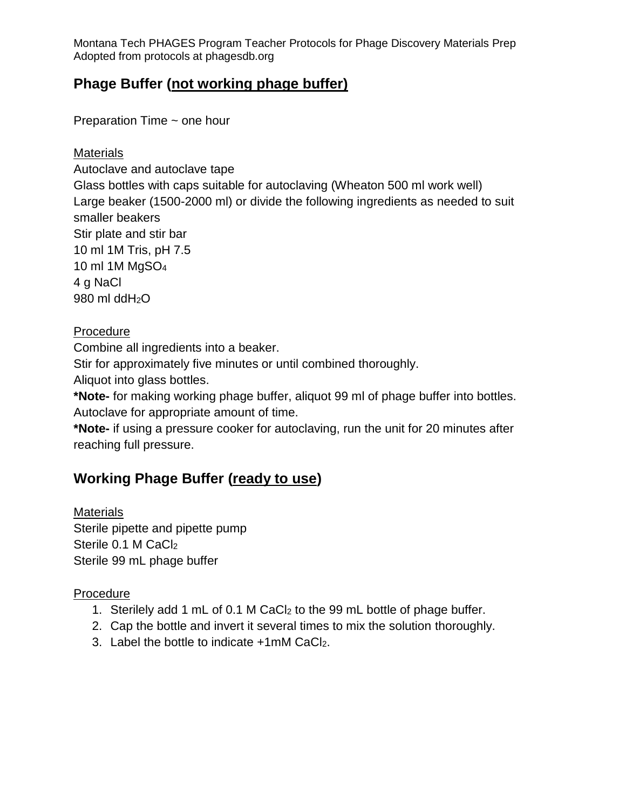## **Phage Buffer (not working phage buffer)**

Preparation Time ~ one hour

### **Materials**

Autoclave and autoclave tape Glass bottles with caps suitable for autoclaving (Wheaton 500 ml work well) Large beaker (1500-2000 ml) or divide the following ingredients as needed to suit smaller beakers Stir plate and stir bar 10 ml 1M Tris, pH 7.5 10 ml 1M MgSO<sup>4</sup> 4 g NaCl 980 ml ddH2O

### Procedure

Combine all ingredients into a beaker.

Stir for approximately five minutes or until combined thoroughly.

Aliquot into glass bottles.

**\*Note-** for making working phage buffer, aliquot 99 ml of phage buffer into bottles. Autoclave for appropriate amount of time.

**\*Note-** if using a pressure cooker for autoclaving, run the unit for 20 minutes after reaching full pressure.

## **Working Phage Buffer (ready to use)**

**Materials** Sterile pipette and pipette pump Sterile 0.1 M CaCl<sub>2</sub> Sterile 99 mL phage buffer

### Procedure

- 1. Sterilely add 1 mL of 0.1 M CaCl<sup>2</sup> to the 99 mL bottle of phage buffer.
- 2. Cap the bottle and invert it several times to mix the solution thoroughly.
- 3. Label the bottle to indicate +1mM CaCl<sub>2</sub>.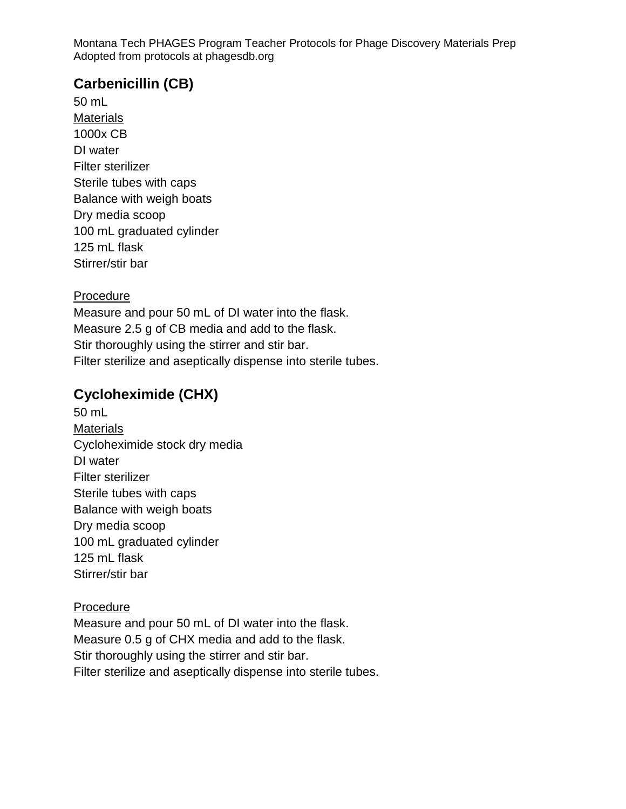## **Carbenicillin (CB)**

50 mL **Materials** 1000x CB DI water Filter sterilizer Sterile tubes with caps Balance with weigh boats Dry media scoop 100 mL graduated cylinder 125 mL flask Stirrer/stir bar

#### **Procedure**

Measure and pour 50 mL of DI water into the flask. Measure 2.5 g of CB media and add to the flask. Stir thoroughly using the stirrer and stir bar. Filter sterilize and aseptically dispense into sterile tubes.

## **Cycloheximide (CHX)**

50 mL **Materials** Cycloheximide stock dry media DI water Filter sterilizer Sterile tubes with caps Balance with weigh boats Dry media scoop 100 mL graduated cylinder 125 mL flask Stirrer/stir bar

#### Procedure

Measure and pour 50 mL of DI water into the flask. Measure 0.5 g of CHX media and add to the flask. Stir thoroughly using the stirrer and stir bar. Filter sterilize and aseptically dispense into sterile tubes.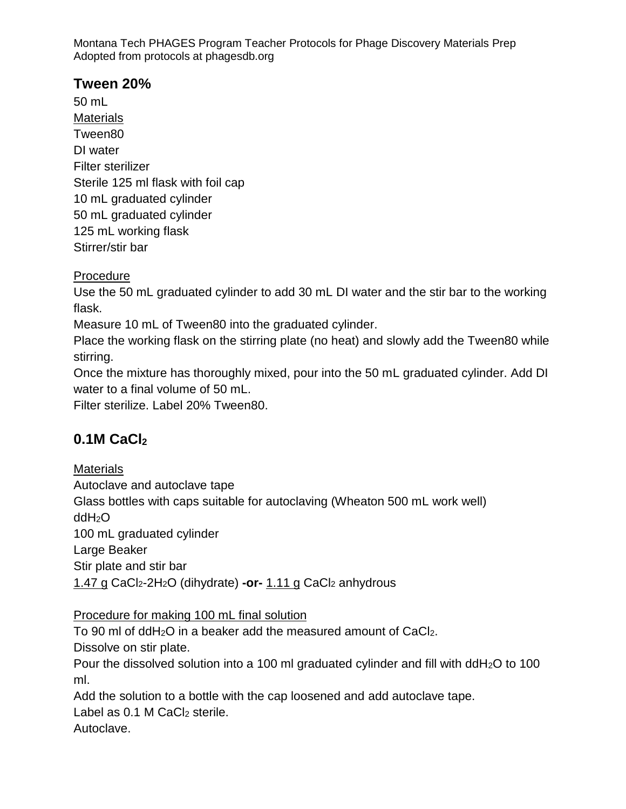## **Tween 20%**

50 mL **Materials** Tween80 DI water Filter sterilizer Sterile 125 ml flask with foil cap 10 mL graduated cylinder 50 mL graduated cylinder 125 mL working flask Stirrer/stir bar

### Procedure

Use the 50 mL graduated cylinder to add 30 mL DI water and the stir bar to the working flask.

Measure 10 mL of Tween80 into the graduated cylinder.

Place the working flask on the stirring plate (no heat) and slowly add the Tween80 while stirring.

Once the mixture has thoroughly mixed, pour into the 50 mL graduated cylinder. Add DI water to a final volume of 50 mL.

Filter sterilize. Label 20% Tween80.

# **0.1M CaCl<sup>2</sup>**

**Materials** 

Autoclave and autoclave tape

Glass bottles with caps suitable for autoclaving (Wheaton 500 mL work well)

ddH2O

100 mL graduated cylinder

Large Beaker

Stir plate and stir bar

1.47 g CaCl2-2H2O (dihydrate) **-or-** 1.11 g CaCl<sup>2</sup> anhydrous

Procedure for making 100 mL final solution

To 90 ml of ddH<sub>2</sub>O in a beaker add the measured amount of CaCl<sub>2</sub>.

Dissolve on stir plate.

Pour the dissolved solution into a 100 ml graduated cylinder and fill with ddH2O to 100 ml.

Add the solution to a bottle with the cap loosened and add autoclave tape.

Label as  $0.1$  M CaCl<sub>2</sub> sterile.

Autoclave.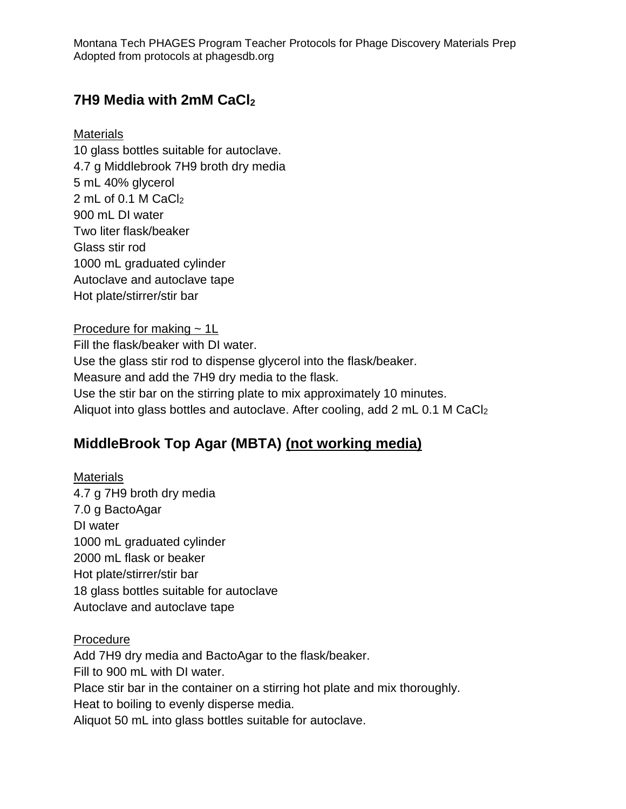## **7H9 Media with 2mM CaCl<sup>2</sup>**

### **Materials**

10 glass bottles suitable for autoclave. 4.7 g Middlebrook 7H9 broth dry media 5 mL 40% glycerol 2 mL of 0.1 M CaCl<sub>2</sub> 900 mL DI water Two liter flask/beaker Glass stir rod 1000 mL graduated cylinder Autoclave and autoclave tape Hot plate/stirrer/stir bar

#### Procedure for making  $\sim 1$ L

Fill the flask/beaker with DI water. Use the glass stir rod to dispense glycerol into the flask/beaker. Measure and add the 7H9 dry media to the flask. Use the stir bar on the stirring plate to mix approximately 10 minutes. Aliquot into glass bottles and autoclave. After cooling, add 2 mL 0.1 M CaCl<sup>2</sup>

# **MiddleBrook Top Agar (MBTA) (not working media)**

### **Materials** 4.7 g 7H9 broth dry media 7.0 g BactoAgar DI water 1000 mL graduated cylinder 2000 mL flask or beaker Hot plate/stirrer/stir bar 18 glass bottles suitable for autoclave Autoclave and autoclave tape

### Procedure

Add 7H9 dry media and BactoAgar to the flask/beaker. Fill to 900 mL with DI water. Place stir bar in the container on a stirring hot plate and mix thoroughly. Heat to boiling to evenly disperse media. Aliquot 50 mL into glass bottles suitable for autoclave.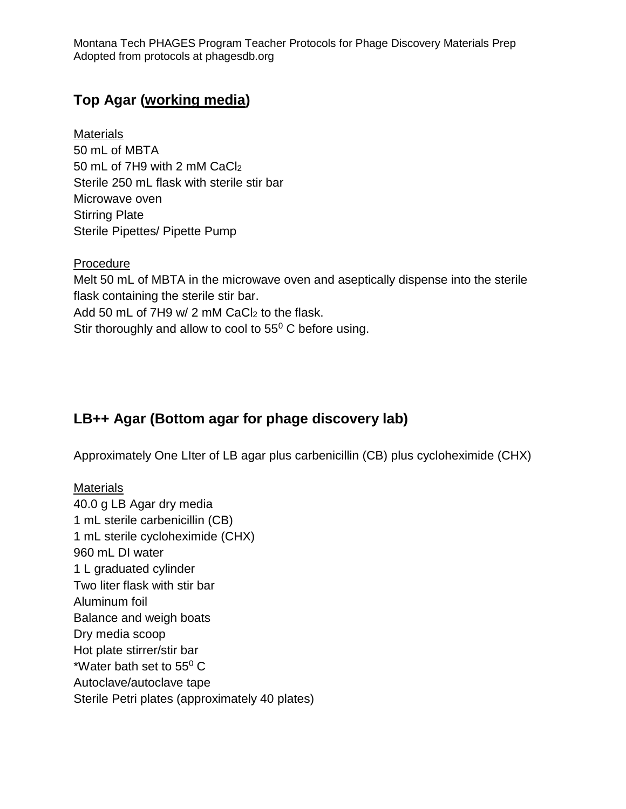## **Top Agar (working media)**

**Materials** 50 mL of MBTA 50 mL of 7H9 with 2 mM CaCl<sub>2</sub> Sterile 250 mL flask with sterile stir bar Microwave oven Stirring Plate Sterile Pipettes/ Pipette Pump

**Procedure** Melt 50 mL of MBTA in the microwave oven and aseptically dispense into the sterile flask containing the sterile stir bar. Add 50 mL of 7H9 w/ 2 mM CaCl<sub>2</sub> to the flask. Stir thoroughly and allow to cool to  $55^{\circ}$  C before using.

# **LB++ Agar (Bottom agar for phage discovery lab)**

Approximately One LIter of LB agar plus carbenicillin (CB) plus cycloheximide (CHX)

**Materials** 40.0 g LB Agar dry media 1 mL sterile carbenicillin (CB) 1 mL sterile cycloheximide (CHX) 960 mL DI water 1 L graduated cylinder Two liter flask with stir bar Aluminum foil Balance and weigh boats Dry media scoop Hot plate stirrer/stir bar \*Water bath set to  $55^{\circ}$  C Autoclave/autoclave tape Sterile Petri plates (approximately 40 plates)